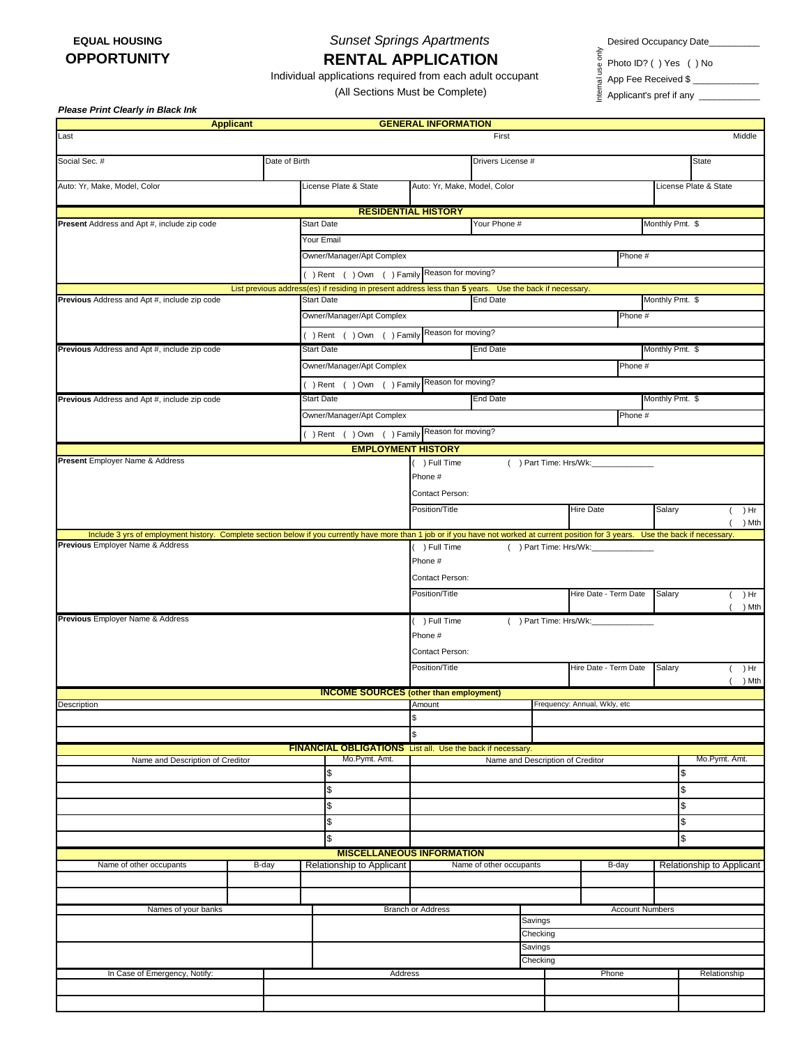## **EQUAL HOUSING** *Sunset Springs Apartments* **RENTAL APPLICATION**

Desired Occupancy Date\_\_\_\_\_\_\_\_\_\_\_

App Fee Received \$ \_\_\_\_\_\_\_\_\_\_\_\_\_

Photo ID? ( ) Yes ( ) No Internal use only

Individual applications required from each adult occupant

(All Sections Must be Complete)

Applicant's pref if any \_\_\_\_\_\_\_\_\_\_\_\_\_

*Please Print Clearly in Black Ink* 

|                                                                                                                                                                                         | <b>Applicant</b> |                 |                                                                                                        | <b>GENERAL INFORMATION</b>                      |                              |                      |                       |                 |                                     |                           |  |
|-----------------------------------------------------------------------------------------------------------------------------------------------------------------------------------------|------------------|-----------------|--------------------------------------------------------------------------------------------------------|-------------------------------------------------|------------------------------|----------------------|-----------------------|-----------------|-------------------------------------|---------------------------|--|
| Last                                                                                                                                                                                    |                  |                 |                                                                                                        |                                                 | First                        |                      |                       |                 |                                     | Middle                    |  |
| Social Sec. #<br>Date of Birth                                                                                                                                                          |                  |                 |                                                                                                        | Drivers License #                               |                              |                      |                       |                 | <b>State</b>                        |                           |  |
| Auto: Yr, Make, Model, Color                                                                                                                                                            |                  |                 | License Plate & State                                                                                  | Auto: Yr, Make, Model, Color                    |                              |                      |                       |                 |                                     | License Plate & State     |  |
|                                                                                                                                                                                         |                  |                 |                                                                                                        |                                                 |                              |                      |                       |                 |                                     |                           |  |
| Present Address and Apt #, include zip code                                                                                                                                             |                  |                 | <b>Start Date</b>                                                                                      | <b>RESIDENTIAL HISTORY</b><br>Your Phone #      |                              |                      |                       |                 | Monthly Pmt. \$                     |                           |  |
|                                                                                                                                                                                         |                  |                 |                                                                                                        |                                                 |                              |                      |                       |                 |                                     |                           |  |
|                                                                                                                                                                                         |                  |                 | Owner/Manager/Apt Complex                                                                              | Phone #                                         |                              |                      |                       |                 |                                     |                           |  |
|                                                                                                                                                                                         |                  |                 | () Rent () Own () Family                                                                               | Reason for moving?                              |                              |                      |                       |                 |                                     |                           |  |
|                                                                                                                                                                                         |                  |                 | List previous address(es) if residing in present address less than 5 years. Use the back if necessary. |                                                 |                              |                      |                       |                 |                                     |                           |  |
| Previous Address and Apt #, include zip code                                                                                                                                            |                  |                 | <b>Start Date</b>                                                                                      | <b>End Date</b>                                 |                              |                      |                       | Monthly Pmt. \$ |                                     |                           |  |
|                                                                                                                                                                                         |                  |                 | Owner/Manager/Apt Complex                                                                              |                                                 |                              |                      |                       | Phone #         |                                     |                           |  |
|                                                                                                                                                                                         |                  |                 | Reason for moving?<br>() Rent () Own () Family                                                         |                                                 |                              |                      |                       |                 |                                     |                           |  |
| Previous Address and Apt #, include zip code                                                                                                                                            |                  |                 | <b>Start Date</b>                                                                                      | <b>End Date</b>                                 |                              |                      |                       | Monthly Pmt. \$ |                                     |                           |  |
|                                                                                                                                                                                         |                  |                 | Owner/Manager/Apt Complex                                                                              |                                                 |                              |                      | Phone #               |                 |                                     |                           |  |
|                                                                                                                                                                                         |                  |                 | () Rent () Own () Family                                                                               | Reason for moving?                              |                              |                      |                       |                 |                                     |                           |  |
| Previous Address and Apt #, include zip code                                                                                                                                            |                  |                 | <b>Start Date</b>                                                                                      | <b>End Date</b>                                 |                              |                      | Monthly Pmt. \$       |                 |                                     |                           |  |
|                                                                                                                                                                                         |                  |                 | Owner/Manager/Apt Complex                                                                              |                                                 |                              |                      |                       | Phone #         |                                     |                           |  |
|                                                                                                                                                                                         |                  |                 | () Rent () Own () Family Reason for moving?                                                            |                                                 |                              |                      |                       |                 |                                     |                           |  |
|                                                                                                                                                                                         |                  |                 | <b>EMPLOYMENT HISTORY</b>                                                                              |                                                 |                              |                      |                       |                 |                                     |                           |  |
| Present Employer Name & Address                                                                                                                                                         |                  |                 |                                                                                                        | () Part Time: Hrs/Wk:<br>) Full Time<br>Phone # |                              |                      |                       |                 |                                     |                           |  |
|                                                                                                                                                                                         |                  |                 |                                                                                                        | Contact Person:                                 |                              |                      |                       |                 |                                     |                           |  |
|                                                                                                                                                                                         |                  |                 |                                                                                                        | Position/Title                                  |                              |                      | <b>Hire Date</b>      |                 | Salary                              | ( ) Hr<br>) Mth           |  |
| Include 3 yrs of employment history. Complete section below if you currently have more than 1 job or if you have not worked at current position for 3 years. Use the back if necessary. |                  |                 |                                                                                                        |                                                 |                              |                      |                       |                 |                                     |                           |  |
| Previous Employer Name & Address                                                                                                                                                        |                  |                 |                                                                                                        | ) Full Time                                     |                              | ) Part Time: Hrs/Wk: |                       |                 |                                     |                           |  |
|                                                                                                                                                                                         |                  |                 |                                                                                                        | Phone #                                         |                              |                      |                       |                 |                                     |                           |  |
|                                                                                                                                                                                         |                  | Contact Person: |                                                                                                        |                                                 |                              |                      |                       |                 |                                     |                           |  |
|                                                                                                                                                                                         |                  |                 |                                                                                                        | Position/Title                                  | Hire Date - Term Date        |                      |                       |                 | Salary<br>) Hr<br>$\left($<br>) Mth |                           |  |
| Previous Employer Name & Address                                                                                                                                                        |                  |                 |                                                                                                        | () Part Time: Hrs/Wk:<br>) Full Time            |                              |                      |                       |                 |                                     |                           |  |
|                                                                                                                                                                                         |                  |                 |                                                                                                        | Phone #                                         |                              |                      |                       |                 |                                     |                           |  |
|                                                                                                                                                                                         |                  |                 |                                                                                                        | Contact Person:                                 |                              |                      |                       |                 |                                     |                           |  |
|                                                                                                                                                                                         |                  |                 |                                                                                                        | Position/Title                                  |                              |                      | Hire Date - Term Date |                 | Salary                              | ( ) Hr<br>) Mth           |  |
|                                                                                                                                                                                         |                  |                 | <b>INCOME SOURCES</b> (other than employment)                                                          |                                                 |                              |                      |                       |                 |                                     |                           |  |
| Description                                                                                                                                                                             |                  |                 |                                                                                                        | Amount                                          | Frequency: Annual, Wkly, etc |                      |                       |                 |                                     |                           |  |
|                                                                                                                                                                                         |                  |                 |                                                                                                        | \$                                              |                              |                      |                       |                 |                                     |                           |  |
|                                                                                                                                                                                         |                  |                 |                                                                                                        | \$                                              |                              |                      |                       |                 |                                     |                           |  |
| Name and Description of Creditor                                                                                                                                                        |                  |                 | FINANCIAL OBLIGATIONS List all. Use the back if necessary.<br>Mo.Pymt. Amt.                            |                                                 |                              |                      |                       |                 |                                     | Mo.Pymt. Amt.             |  |
|                                                                                                                                                                                         |                  |                 | \$                                                                                                     | Name and Description of Creditor                |                              |                      |                       | \$              |                                     |                           |  |
|                                                                                                                                                                                         |                  |                 | \$                                                                                                     |                                                 |                              |                      |                       |                 | \$                                  |                           |  |
|                                                                                                                                                                                         |                  |                 | \$                                                                                                     |                                                 |                              |                      |                       |                 | \$                                  |                           |  |
|                                                                                                                                                                                         |                  |                 | \$                                                                                                     |                                                 |                              |                      |                       |                 | \$                                  |                           |  |
|                                                                                                                                                                                         |                  |                 | \$                                                                                                     |                                                 |                              |                      |                       | \$              |                                     |                           |  |
|                                                                                                                                                                                         |                  |                 | <b>MISCELLANEOUS INFORMATION</b>                                                                       |                                                 |                              |                      |                       |                 |                                     |                           |  |
| Name of other occupants                                                                                                                                                                 | B-day            |                 | Relationship to Applicant                                                                              |                                                 | Name of other occupants      |                      | B-day                 |                 |                                     | Relationship to Applicant |  |
|                                                                                                                                                                                         |                  |                 |                                                                                                        |                                                 |                              |                      |                       |                 |                                     |                           |  |
|                                                                                                                                                                                         |                  |                 |                                                                                                        |                                                 |                              |                      |                       |                 |                                     |                           |  |
| Names of your banks                                                                                                                                                                     |                  |                 | <b>Branch or Address</b>                                                                               |                                                 | <b>Account Numbers</b>       |                      |                       |                 |                                     |                           |  |
|                                                                                                                                                                                         |                  |                 |                                                                                                        | Savings<br>Checking                             |                              |                      |                       |                 |                                     |                           |  |
|                                                                                                                                                                                         |                  |                 |                                                                                                        | Savings                                         |                              |                      |                       |                 |                                     |                           |  |
|                                                                                                                                                                                         |                  |                 |                                                                                                        | Checking                                        |                              |                      |                       |                 |                                     |                           |  |
| In Case of Emergency, Notify:                                                                                                                                                           |                  |                 | Address                                                                                                |                                                 | Phone                        |                      |                       | Relationship    |                                     |                           |  |
|                                                                                                                                                                                         |                  |                 |                                                                                                        |                                                 |                              |                      |                       |                 |                                     |                           |  |
|                                                                                                                                                                                         |                  |                 |                                                                                                        |                                                 |                              |                      |                       |                 |                                     |                           |  |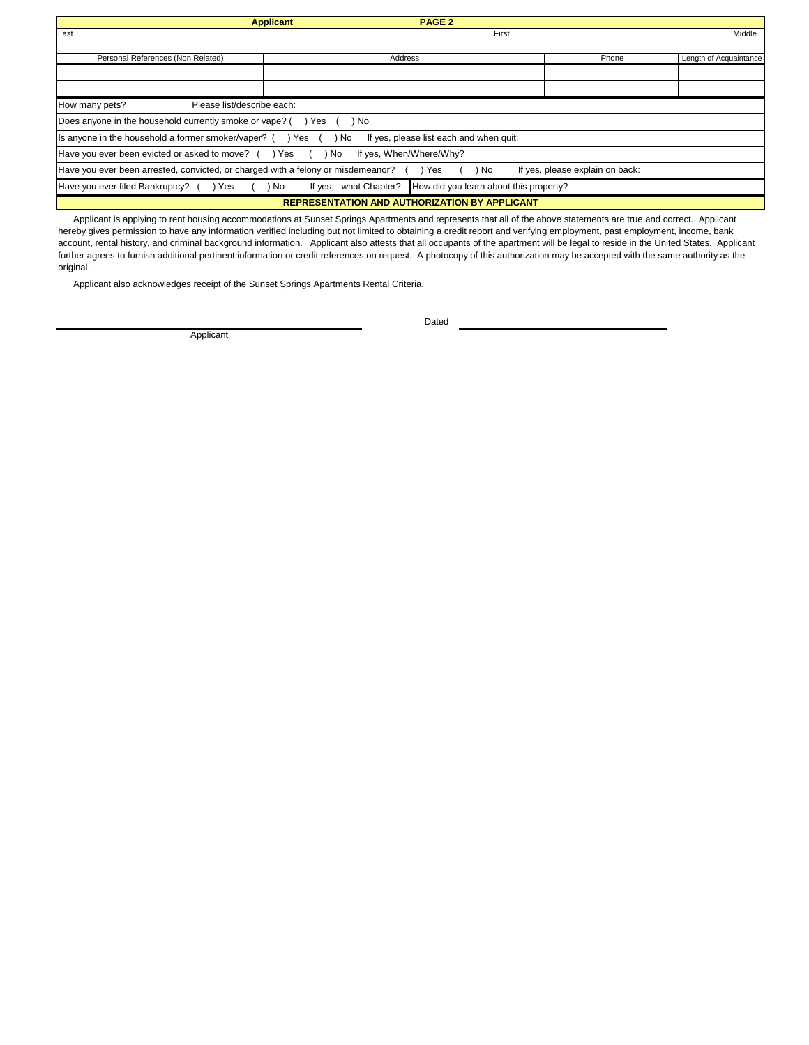|                                                                                                                                     | <b>PAGE 2</b><br><b>Applicant</b> |       |                        |  |  |  |  |
|-------------------------------------------------------------------------------------------------------------------------------------|-----------------------------------|-------|------------------------|--|--|--|--|
| Last                                                                                                                                | First                             |       | Middle                 |  |  |  |  |
|                                                                                                                                     |                                   |       |                        |  |  |  |  |
| Personal References (Non Related)                                                                                                   | Address                           | Phone | Length of Acquaintance |  |  |  |  |
|                                                                                                                                     |                                   |       |                        |  |  |  |  |
|                                                                                                                                     |                                   |       |                        |  |  |  |  |
| Please list/describe each:<br>How many pets?                                                                                        |                                   |       |                        |  |  |  |  |
| Does anyone in the household currently smoke or vape? (<br>ı No<br>Yes                                                              |                                   |       |                        |  |  |  |  |
| Is anyone in the household a former smoker/vaper? $($ $)$ Yes $($<br>) No<br>If yes, please list each and when quit:                |                                   |       |                        |  |  |  |  |
| Have you ever been evicted or asked to move? () Yes (<br>If yes, When/Where/Why?<br>) No                                            |                                   |       |                        |  |  |  |  |
| Have you ever been arrested, convicted, or charged with a felony or misdemeanor?<br>If yes, please explain on back:<br>No.<br>) Yes |                                   |       |                        |  |  |  |  |
| How did you learn about this property?<br>what Chapter?<br>Have you ever filed Bankruptcy?<br>Yes<br>No<br>If yes.                  |                                   |       |                        |  |  |  |  |
| <b>REPRESENTATION AND AUTHORIZATION BY APPLICANT</b>                                                                                |                                   |       |                        |  |  |  |  |

 Applicant is applying to rent housing accommodations at Sunset Springs Apartments and represents that all of the above statements are true and correct. Applicant hereby gives permission to have any information verified including but not limited to obtaining a credit report and verifying employment, past employment, income, bank account, rental history, and criminal background information. Applicant also attests that all occupants of the apartment will be legal to reside in the United States. Applicant further agrees to furnish additional pertinent information or credit references on request. A photocopy of this authorization may be accepted with the same authority as the original.

Applicant also acknowledges receipt of the Sunset Springs Apartments Rental Criteria.

Applicant

Dated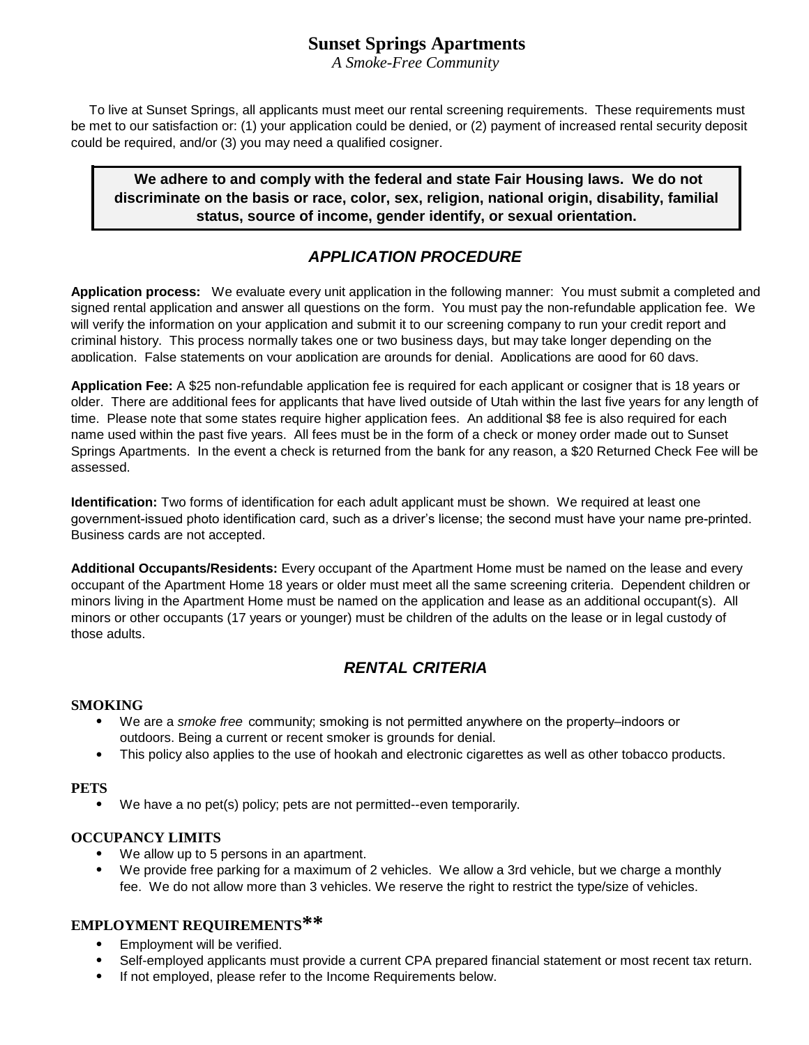# **Sunset Springs Apartments**

*A Smoke-Free Community*

 To live at Sunset Springs, all applicants must meet our rental screening requirements. These requirements must be met to our satisfaction or: (1) your application could be denied, or (2) payment of increased rental security deposit could be required, and/or (3) you may need a qualified cosigner.

 **We adhere to and comply with the federal and state Fair Housing laws. We do not discriminate on the basis or race, color, sex, religion, national origin, disability, familial status, source of income, gender identify, or sexual orientation.**

# *APPLICATION PROCEDURE*

**Application process:** We evaluate every unit application in the following manner: You must submit a completed and signed rental application and answer all questions on the form. You must pay the non-refundable application fee. We will verify the information on your application and submit it to our screening company to run your credit report and criminal history. This process normally takes one or two business days, but may take longer depending on the application. False statements on your application are grounds for denial. Applications are good for 60 days.

**Application Fee:** A \$25 non-refundable application fee is required for each applicant or cosigner that is 18 years or older. There are additional fees for applicants that have lived outside of Utah within the last five years for any length of time. Please note that some states require higher application fees. An additional \$8 fee is also required for each name used within the past five years. All fees must be in the form of a check or money order made out to Sunset Springs Apartments. In the event a check is returned from the bank for any reason, a \$20 Returned Check Fee will be assessed.

**Identification:** Two forms of identification for each adult applicant must be shown. We required at least one government-issued photo identification card, such as a driver's license; the second must have your name pre-printed. Business cards are not accepted.

**Additional Occupants/Residents:** Every occupant of the Apartment Home must be named on the lease and every occupant of the Apartment Home 18 years or older must meet all the same screening criteria. Dependent children or minors living in the Apartment Home must be named on the application and lease as an additional occupant(s). All minors or other occupants (17 years or younger) must be children of the adults on the lease or in legal custody of those adults.

## *RENTAL CRITERIA*

### **SMOKING**

- $\bullet$ We are a *smoke free* community; smoking is not permitted anywhere on the property–indoors or outdoors. Being a current or recent smoker is grounds for denial.
- $\bullet$ This policy also applies to the use of hookah and electronic cigarettes as well as other tobacco products.

### **PETS**

• We have a no pet(s) policy; pets are not permitted--even temporarily.

## **OCCUPANCY LIMITS**

- We allow up to 5 persons in an apartment.
- $\bullet$ We provide free parking for a maximum of 2 vehicles. We allow a 3rd vehicle, but we charge a monthly fee. We do not allow more than 3 vehicles. We reserve the right to restrict the type/size of vehicles.

## **EMPLOYMENT REQUIREMENTS\*\***

- $\bullet$ Employment will be verified.
- $\bullet$ Self-employed applicants must provide a current CPA prepared financial statement or most recent tax return.
- $\bullet$ If not employed, please refer to the Income Requirements below.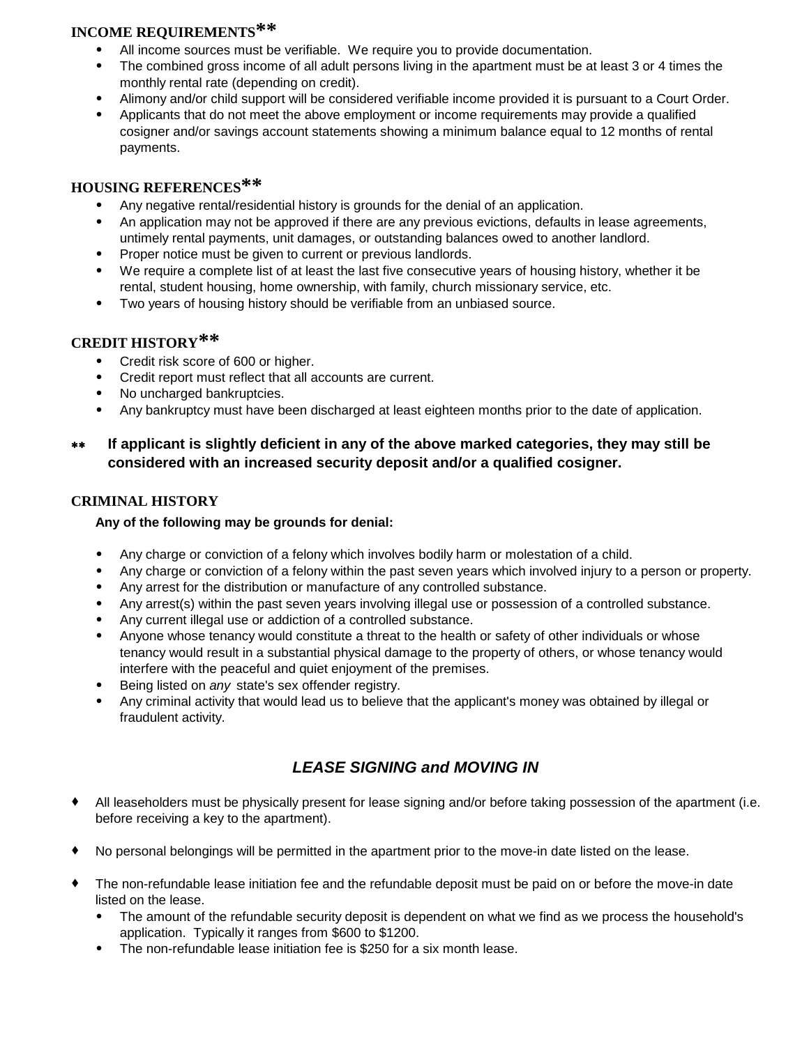# **INCOME REQUIREMENTS\*\***

- All income sources must be verifiable. We require you to provide documentation.
- $\bullet$ The combined gross income of all adult persons living in the apartment must be at least 3 or 4 times the monthly rental rate (depending on credit).
- Alimony and/or child support will be considered verifiable income provided it is pursuant to a Court Order.
- $\bullet$ Applicants that do not meet the above employment or income requirements may provide a qualified cosigner and/or savings account statements showing a minimum balance equal to 12 months of rental payments.

## **HOUSING REFERENCES\*\***

- $\bullet$ Any negative rental/residential history is grounds for the denial of an application.
- $\bullet$ An application may not be approved if there are any previous evictions, defaults in lease agreements, untimely rental payments, unit damages, or outstanding balances owed to another landlord.
- $\bullet$ Proper notice must be given to current or previous landlords.
- We require a complete list of at least the last five consecutive years of housing history, whether it be rental, student housing, home ownership, with family, church missionary service, etc.
- $\bullet$ Two years of housing history should be verifiable from an unbiased source.

## **CREDIT HISTORY\*\***

- Credit risk score of 600 or higher.
- Credit report must reflect that all accounts are current.
- No uncharged bankruptcies.
- $\bullet$ Any bankruptcy must have been discharged at least eighteen months prior to the date of application.

#### **If applicant is slightly deficient in any of the above marked categories, they may still be considered with an increased security deposit and/or a qualified cosigner.** \*\*

## **CRIMINAL HISTORY**

## **Any of the following may be grounds for denial:**

- $\bullet$ Any charge or conviction of a felony which involves bodily harm or molestation of a child.
- $\bullet$ Any charge or conviction of a felony within the past seven years which involved injury to a person or property.
- $\bullet$ Any arrest for the distribution or manufacture of any controlled substance.
- $\bullet$ Any arrest(s) within the past seven years involving illegal use or possession of a controlled substance.
- $\bullet$ Any current illegal use or addiction of a controlled substance.
- $\bullet$ Anyone whose tenancy would constitute a threat to the health or safety of other individuals or whose tenancy would result in a substantial physical damage to the property of others, or whose tenancy would interfere with the peaceful and quiet enjoyment of the premises.
- $\bullet$ Being listed on *any* state's sex offender registry.
- $\bullet$ Any criminal activity that would lead us to believe that the applicant's money was obtained by illegal or fraudulent activity.

# *LEASE SIGNING and MOVING IN*

- $\bullet$ All leaseholders must be physically present for lease signing and/or before taking possession of the apartment (i.e. before receiving a key to the apartment).
- t No personal belongings will be permitted in the apartment prior to the move-in date listed on the lease.
- t The non-refundable lease initiation fee and the refundable deposit must be paid on or before the move-in date listed on the lease.
	- $\bullet$ The amount of the refundable security deposit is dependent on what we find as we process the household's application. Typically it ranges from \$600 to \$1200.
	- $\bullet$ The non-refundable lease initiation fee is \$250 for a six month lease.